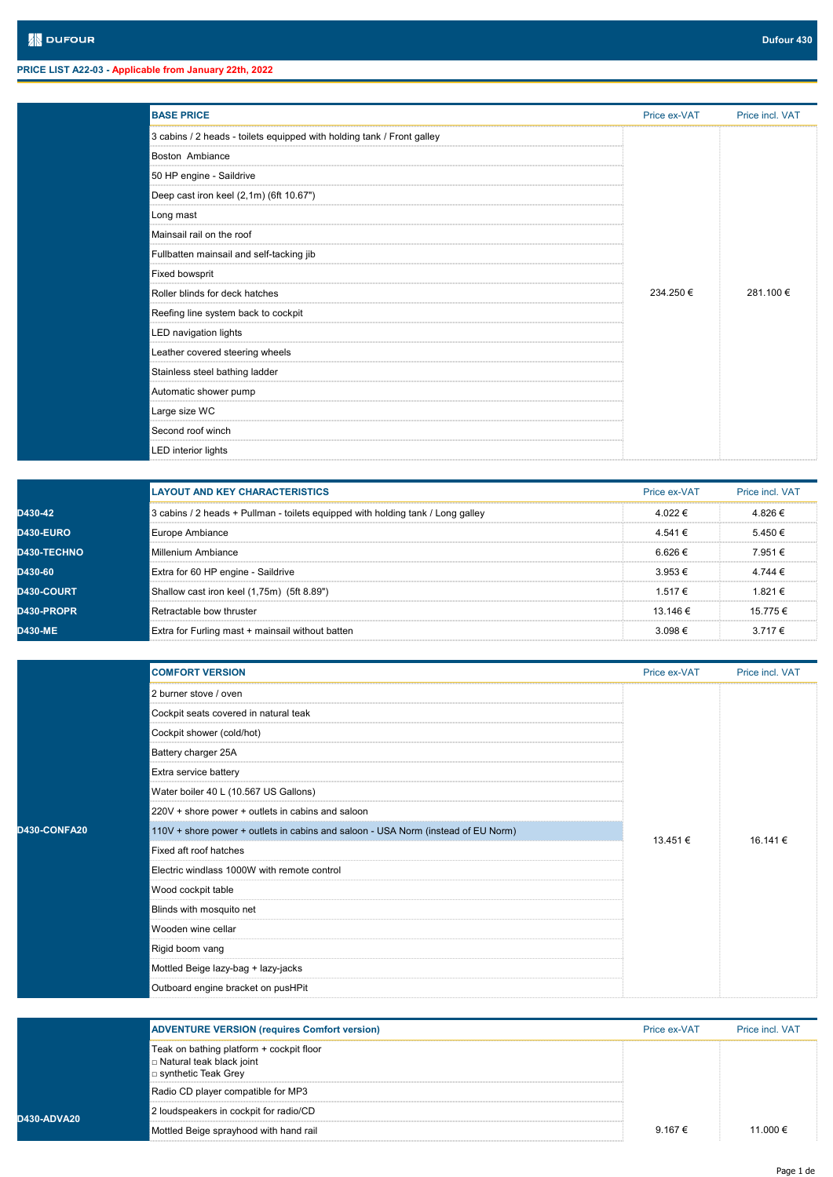**D4** 

D43

| <b>BASE PRICE</b>                                                      | Price ex-VAT | Price incl. VAT |  |
|------------------------------------------------------------------------|--------------|-----------------|--|
| 3 cabins / 2 heads - toilets equipped with holding tank / Front galley |              |                 |  |
| <b>Boston Ambiance</b>                                                 |              |                 |  |
| 50 HP engine - Saildrive                                               |              |                 |  |
| Deep cast iron keel (2,1m) (6ft 10.67")                                |              |                 |  |
| Long mast                                                              |              |                 |  |
| Mainsail rail on the roof                                              |              |                 |  |
| Fullbatten mainsail and self-tacking jib                               |              |                 |  |
| <b>Fixed bowsprit</b>                                                  |              |                 |  |
| Roller blinds for deck hatches                                         | 234.250 €    | 281.100 €       |  |
| Reefing line system back to cockpit                                    |              |                 |  |
| LED navigation lights                                                  |              |                 |  |
| Leather covered steering wheels                                        |              |                 |  |
| Stainless steel bathing ladder                                         |              |                 |  |
| Automatic shower pump                                                  |              |                 |  |
| Large size WC                                                          |              |                 |  |
| Second roof winch                                                      |              |                 |  |
| <b>LED</b> interior lights                                             |              |                 |  |

|                    | <b>LAYOUT AND KEY CHARACTERISTICS</b>                                           | Price ex-VAT | Price incl. VAT |
|--------------------|---------------------------------------------------------------------------------|--------------|-----------------|
| D430-42            | 3 cabins / 2 heads + Pullman - toilets equipped with holding tank / Long galley | 4.022 €      | 4826€           |
| <b>D430-EURO</b>   | Europe Ambiance                                                                 | 4.541€       | 5.450 €         |
| <b>D430-TECHNO</b> | Millenium Ambiance                                                              | 6 626 €      | 7.951€          |
| D430-60            | Extra for 60 HP engine - Saildrive                                              | $3.953 \in$  | 4.744 €         |
| <b>D430-COURT</b>  | Shallow cast iron keel (1,75m) (5ft 8.89")                                      | 1.517 €      | 1821 $\in$      |
| <b>D430-PROPR</b>  | Retractable bow thruster                                                        | 13.146 €     | 15.775€         |
| <b>D430-ME</b>     | Extra for Furling mast + mainsail without batten                                | $3.098 \in$  | $3717 \in$      |

|                   | <b>COMFORT VERSION</b>                                                            | Price ex-VAT | Price incl. VAT |
|-------------------|-----------------------------------------------------------------------------------|--------------|-----------------|
|                   | 2 burner stove / oven                                                             |              |                 |
|                   | Cockpit seats covered in natural teak                                             |              |                 |
|                   | Cockpit shower (cold/hot)                                                         |              |                 |
|                   | Battery charger 25A                                                               |              |                 |
|                   | Extra service battery                                                             |              |                 |
|                   | Water boiler 40 L (10.567 US Gallons)                                             |              | 16.141€         |
| <b>30-CONFA20</b> | 220V + shore power + outlets in cabins and saloon                                 | 13.451 €     |                 |
|                   | 110V + shore power + outlets in cabins and saloon - USA Norm (instead of EU Norm) |              |                 |
|                   | Fixed aft roof hatches                                                            |              |                 |
|                   | Electric windlass 1000W with remote control                                       |              |                 |
|                   | Wood cockpit table                                                                |              |                 |
|                   | Blinds with mosquito net                                                          |              |                 |
|                   | Wooden wine cellar                                                                |              |                 |
|                   | Rigid boom vang                                                                   |              |                 |
|                   | Mottled Beige lazy-bag + lazy-jacks                                               |              |                 |
|                   | Outboard engine bracket on pusHPit                                                |              |                 |

|           | <b>ADVENTURE VERSION (requires Comfort version)</b>                                             | Price ex-VAT | <b>Price incl VAT</b> |
|-----------|-------------------------------------------------------------------------------------------------|--------------|-----------------------|
|           | Teak on bathing platform + cockpit floor<br>□ Natural teak black joint<br>⊡ synthetic Teak Grey |              |                       |
|           | Radio CD player compatible for MP3                                                              |              |                       |
| 0-ADVA20. | 2 loudspeakers in cockpit for radio/CD                                                          |              |                       |
|           | Mottled Beige sprayhood with hand rail                                                          | 9.167 €      | 11 000 €              |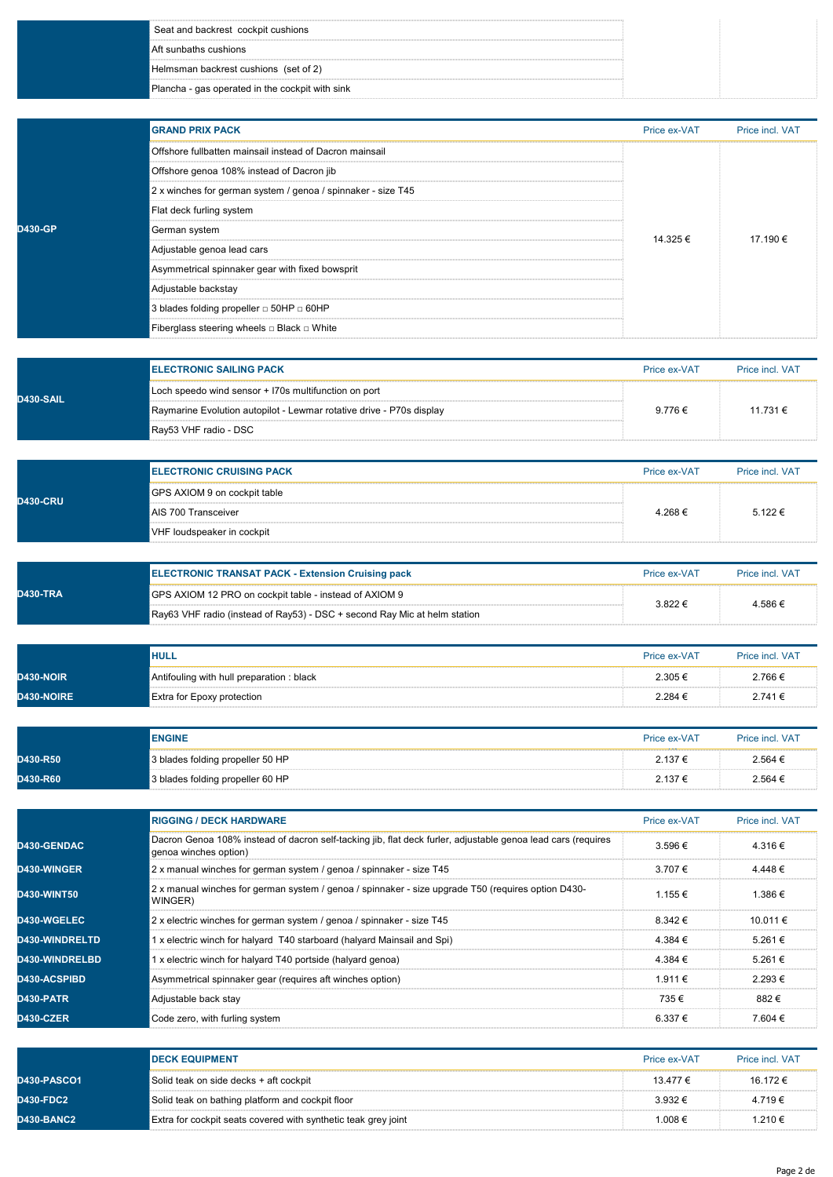| l Aft sunbaths cushions<br>Helmsman backrest cushions (set of 2)<br>Plancha - gas operated in the cockpit with sink | Seat and backrest cockpit cushions |  |
|---------------------------------------------------------------------------------------------------------------------|------------------------------------|--|
|                                                                                                                     |                                    |  |
|                                                                                                                     |                                    |  |
|                                                                                                                     |                                    |  |

|                 | <b>GRAND PRIX PACK</b>                                       | Price ex-VAT | Price incl. VAT |
|-----------------|--------------------------------------------------------------|--------------|-----------------|
|                 | Offshore fullbatten mainsail instead of Dacron mainsail      |              |                 |
|                 | Offshore genoa 108% instead of Dacron jib                    |              |                 |
|                 | 2 x winches for german system / genoa / spinnaker - size T45 |              |                 |
|                 | Flat deck furling system                                     |              | 17.190 €        |
| <b>ID430-GP</b> | German system                                                | 14.325 €     |                 |
|                 | Adjustable genoa lead cars                                   |              |                 |
|                 | Asymmetrical spinnaker gear with fixed bowsprit              |              |                 |
|                 | Adjustable backstay                                          |              |                 |
|                 | 3 blades folding propeller $\Box$ 50HP $\Box$ 60HP           |              |                 |
|                 | Fiberglass steering wheels $\square$ Black $\square$ White   |              |                 |

| <b>D430-SAIL</b> | <b>ELECTRONIC SAILING PACK</b>                                       | Price ex-VAT | <b>Price incl VAT</b> |
|------------------|----------------------------------------------------------------------|--------------|-----------------------|
|                  | Loch speedo wind sensor + I70s multifunction on port                 |              |                       |
|                  | Raymarine Evolution autopilot - Lewmar rotative drive - P70s display | $9.776 \in$  | 11.731 €              |
|                  | Ray53 VHF radio - DSC                                                |              |                       |

| <b>D430-CRU</b> | <b>ELECTRONIC CRUISING PACK</b> | Price ex-VAT | <b>Price incl VAT</b> |
|-----------------|---------------------------------|--------------|-----------------------|
|                 | GPS AXIOM 9 on cockpit table    |              |                       |
|                 | AIS 700 Transceiver             | 4.268€       | $5.122 \in$           |
|                 | VHF loudspeaker in cockpit      |              |                       |

| <b>D430-TRA</b> | <b>ELECTRONIC TRANSAT PACK - Extension Cruising pack</b>                  | Price ex-VAT | <b>Price incl. VAT</b> |
|-----------------|---------------------------------------------------------------------------|--------------|------------------------|
|                 | GPS AXIOM 12 PRO on cockpit table - instead of AXIOM 9                    | 3.822 €      | 4.586€                 |
|                 | Ray63 VHF radio (instead of Ray53) - DSC + second Ray Mic at helm station |              |                        |

|            | <b>HULL</b>                              | Price ex-VAT | Price incl. VAT |
|------------|------------------------------------------|--------------|-----------------|
| D430-NOIR  | Antifouling with hull preparation: black | 2.305€       | 2.766€          |
| D430-NOIRE | Extra for Epoxy protection               | 2.284 €      | 2.741€          |

|          | <b>ENGINE</b>                    | Price ex-VAT | Price incl. VAT |
|----------|----------------------------------|--------------|-----------------|
| D430-R50 | 3 blades folding propeller 50 HP | 2.137€       | 2.564 €         |
| D430-R60 | 3 blades folding propeller 60 HP | 2.137 €      | 2.564 €         |

|                       | <b>RIGGING / DECK HARDWARE</b>                                                                                                        | Price ex-VAT | Price incl. VAT |
|-----------------------|---------------------------------------------------------------------------------------------------------------------------------------|--------------|-----------------|
| <b>D430-GENDAC</b>    | Dacron Genoa 108% instead of dacron self-tacking jib, flat deck furler, adjustable genoa lead cars (reguires<br>genoa winches option) | $3.596 \in$  | 4.316€          |
| <b>D430-WINGER</b>    | 2 x manual winches for german system / genoa / spinnaker - size T45                                                                   | 3.707 €      | $4.448 \in$     |
| <b>D430-WINT50</b>    | 2 x manual winches for german system / genoa / spinnaker - size upgrade T50 (requires option D430-<br>WINGER)                         | 1.155 €      | 1.386 €         |
| <b>D430-WGELEC</b>    | 2 x electric winches for german system / genoa / spinnaker - size T45                                                                 | $8.342 \in$  | 10.011 €        |
| <b>D430-WINDRELTD</b> | 1 x electric winch for halyard T40 starboard (halyard Mainsail and Spi)                                                               | 4.384 €      | 5.261 €         |
| D430-WINDRELBD        | 1 x electric winch for halyard T40 portside (halyard genoa)                                                                           | 4.384 €      | 5.261 €         |
| <b>D430-ACSPIBD</b>   | Asymmetrical spinnaker gear (requires aft winches option)                                                                             | 1.911 €      | $2.293 \in$     |
| D430-PATR             | Adiustable back stav                                                                                                                  | 735€         | 882€            |
| D430-CZER             | Code zero, with furling system                                                                                                        | 6.337 €      | 7.604 €         |

|                    | <b>IDECK EQUIPMENT</b>                                         | Price ex-VAT | <b>Price incl VAT</b> |
|--------------------|----------------------------------------------------------------|--------------|-----------------------|
| <b>D430-PASCO1</b> | Solid teak on side decks + aft cockpit                         | 13.477 €     | 16.172 €              |
| <b>D430-FDC2</b>   | Solid teak on bathing platform and cockpit floor               | $3.932 \in$  | 4.719€                |
| D430-BANC2         | Extra for cockpit seats covered with synthetic teak grey joint | 1.008€       | 1.210€                |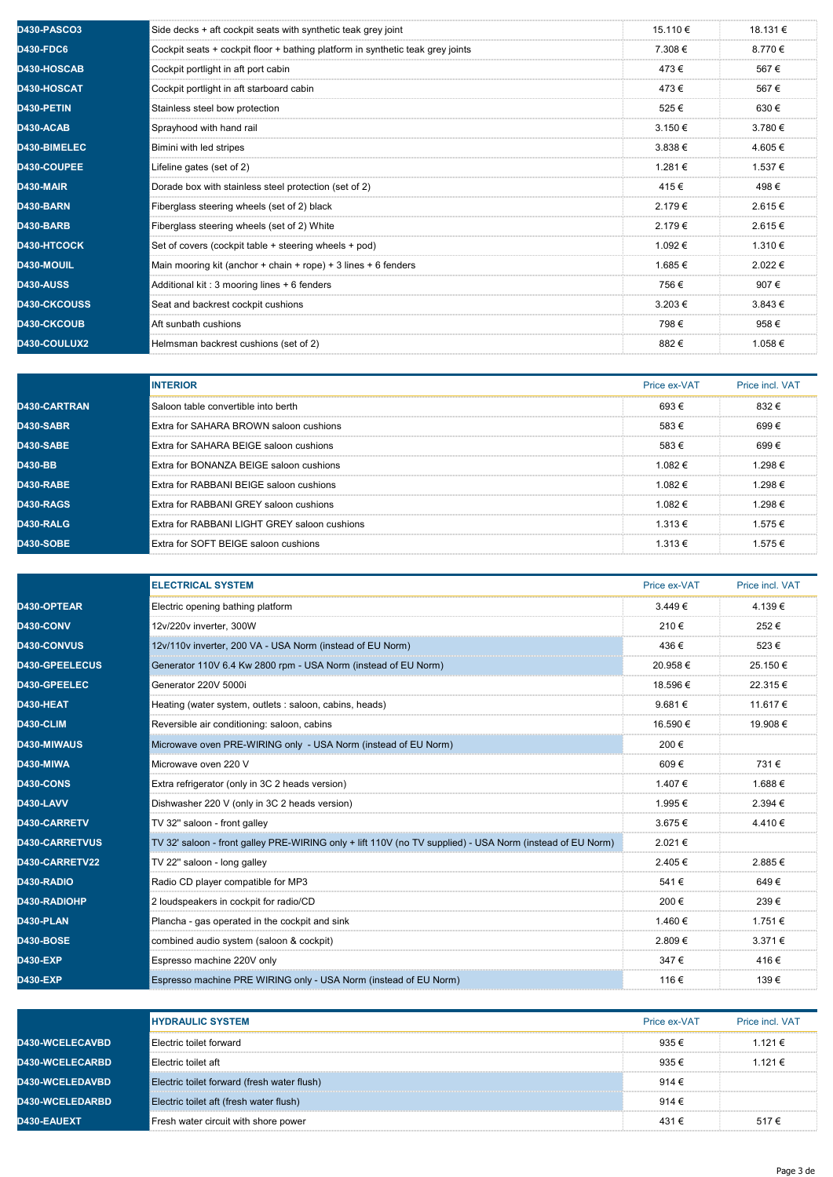| <b>D430-PASCO3</b>  | Side decks + aft cockpit seats with synthetic teak grey joint                  | 15.110 €    | 18.131 €    |
|---------------------|--------------------------------------------------------------------------------|-------------|-------------|
| <b>D430-FDC6</b>    | Cockpit seats + cockpit floor + bathing platform in synthetic teak grey joints | 7.308€      | 8.770€      |
| D430-HOSCAB         | Cockpit portlight in aft port cabin                                            | 473€        | 567€        |
| D430-HOSCAT         | Cockpit portlight in aft starboard cabin                                       | 473€        | 567€        |
| D430-PETIN          | Stainless steel bow protection                                                 | 525€        | 630€        |
| D430-ACAB           | Sprayhood with hand rail                                                       | $3.150 \in$ | 3.780€      |
| D430-BIMELEC        | Bimini with led stripes                                                        | $3.838 \in$ | 4.605€      |
| D430-COUPEE         | Lifeline gates (set of 2)                                                      | 1.281€      | 1.537€      |
| D430-MAIR           | Dorade box with stainless steel protection (set of 2)                          | 415€        | 498€        |
| D430-BARN           | Fiberglass steering wheels (set of 2) black                                    | 2.179€      | 2.615€      |
| D430-BARB           | Fiberglass steering wheels (set of 2) White                                    | 2.179€      | 2.615€      |
| D430-HTCOCK         | Set of covers (cockpit table + steering wheels + pod)                          | 1.092 €     | 1.310 €     |
| D430-MOUIL          | Main mooring kit (anchor + chain + rope) + 3 lines + 6 fenders                 | 1.685€      | 2.022€      |
| <b>D430-AUSS</b>    | Additional kit: 3 mooring lines + 6 fenders                                    | 756€        | 907€        |
| <b>D430-CKCOUSS</b> | Seat and backrest cockpit cushions                                             | 3.203€      | $3.843 \in$ |
| D430-CKCOUB         | Aft sunbath cushions                                                           | 798€        | 958€        |
| D430-COULUX2        | Helmsman backrest cushions (set of 2)                                          | 882€        | 1.058€      |

|                     | <b>INTERIOR</b>                               | Price ex-VAT     | Price incl. VAT |
|---------------------|-----------------------------------------------|------------------|-----------------|
| <b>D430-CARTRAN</b> | Saloon table convertible into berth           | 693€             | 832€            |
| D430-SABR           | Extra for SAHARA BROWN saloon cushions        | 583€             | 699€            |
| <b>D430-SABE</b>    | Extra for SAHARA BEIGE saloon cushions        | 583€             | 699€            |
| D430-BB             | Extra for BONANZA BEIGE saloon cushions       | 1.082€           | 1.298€          |
| <b>D430-RABE</b>    | Extra for RABBANI BEIGE saloon cushions       | 1 082 $\epsilon$ | 1 298 $\in$     |
| D430-RAGS           | <b>Extra for RABBANI GREY saloon cushions</b> | 1.082€           | 1.298€          |
| D430-RALG           | Extra for RABBANI LIGHT GREY saloon cushions  | $1.313 \in$      | 1.575€          |
| <b>D430-SOBE</b>    | Extra for SOFT BEIGE saloon cushions          | $1.313 \in$      | 1.575 €         |

|                       | <b>ELECTRICAL SYSTEM</b>                                                                                  | Price ex-VAT | Price incl. VAT |
|-----------------------|-----------------------------------------------------------------------------------------------------------|--------------|-----------------|
| D430-OPTEAR           | Electric opening bathing platform                                                                         | 3.449€       | 4.139€          |
| D430-CONV             | 12v/220v inverter, 300W                                                                                   | 210€         | 252€            |
| <b>D430-CONVUS</b>    | 12v/110v inverter, 200 VA - USA Norm (instead of EU Norm)                                                 | 436€         | 523€            |
| D430-GPEELECUS        | Generator 110V 6.4 Kw 2800 rpm - USA Norm (instead of EU Norm)                                            | 20.958€      | 25.150€         |
| D430-GPEELEC          | Generator 220V 5000i                                                                                      | 18.596 €     | 22.315€         |
| D430-HEAT             | Heating (water system, outlets : saloon, cabins, heads)                                                   | 9.681€       | 11.617 €        |
| <b>D430-CLIM</b>      | Reversible air conditioning: saloon, cabins                                                               | 16.590 €     | 19.908€         |
| D430-MIWAUS           | Microwave oven PRE-WIRING only - USA Norm (instead of EU Norm)                                            | 200€         |                 |
| D430-MIWA             | Microwave oven 220 V                                                                                      | 609€         | 731€            |
| D430-CONS             | Extra refrigerator (only in 3C 2 heads version)                                                           | 1.407€       | 1.688 €         |
| D430-LAVV             | Dishwasher 220 V (only in 3C 2 heads version)                                                             | 1.995 €      | 2.394 €         |
| D430-CARRETV          | TV 32" saloon - front galley                                                                              | 3.675€       | 4.410€          |
| <b>D430-CARRETVUS</b> | TV 32' saloon - front galley PRE-WIRING only + lift 110V (no TV supplied) - USA Norm (instead of EU Norm) | 2.021€       |                 |
| D430-CARRETV22        | TV 22" saloon - long galley                                                                               | 2.405€       | 2.885€          |
| D430-RADIO            | Radio CD player compatible for MP3                                                                        | 541€         | 649€            |
| D430-RADIOHP          | 2 loudspeakers in cockpit for radio/CD                                                                    | 200€         | 239€            |
| D430-PLAN             | Plancha - gas operated in the cockpit and sink                                                            | 1.460 €      | 1.751 €         |
| <b>D430-BOSE</b>      | combined audio system (saloon & cockpit)                                                                  | 2.809€       | $3.371 \in$     |
| <b>D430-EXP</b>       | Espresso machine 220V only                                                                                | 347€         | 416€            |
| <b>D430-EXP</b>       | Espresso machine PRE WIRING only - USA Norm (instead of EU Norm)                                          | 116€         | 139€            |

|                        | <b>HYDRAULIC SYSTEM</b>                     | Price ex-VAT   | Price incl. VAT |
|------------------------|---------------------------------------------|----------------|-----------------|
| <b>D430-WCELECAVBD</b> | Electric toilet forward                     | $935 \in$      | 1.121 €         |
| <b>D430-WCELECARBD</b> | Electric toilet aft                         | 935 $\epsilon$ | 1.121 €         |
| <b>D430-WCELEDAVBD</b> | Electric toilet forward (fresh water flush) | 914 $\in$      |                 |
| <b>D430-WCELEDARBD</b> | Electric toilet aft (fresh water flush)     | 914 €          |                 |
| <b>D430-EAUEXT</b>     | Fresh water circuit with shore power        | 431 €          | 517€            |